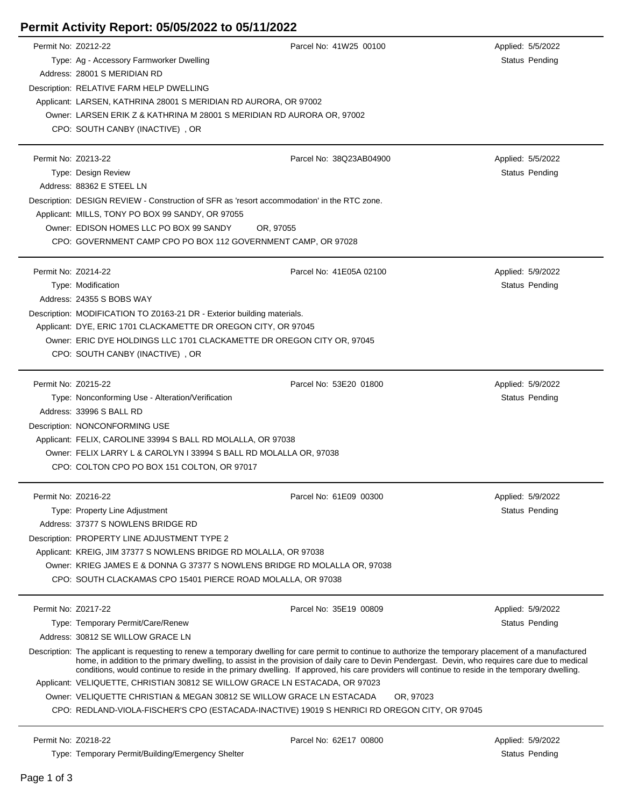## **Permit Activity Report: 05/05/2022 to 05/11/2022**

| Permit No: Z0212-22                                                                           |                                                                                                                                                       | Parcel No: 41W25 00100                                                                                                                                                                                                                                                                               | Applied: 5/5/2022     |  |  |
|-----------------------------------------------------------------------------------------------|-------------------------------------------------------------------------------------------------------------------------------------------------------|------------------------------------------------------------------------------------------------------------------------------------------------------------------------------------------------------------------------------------------------------------------------------------------------------|-----------------------|--|--|
|                                                                                               | Type: Ag - Accessory Farmworker Dwelling                                                                                                              |                                                                                                                                                                                                                                                                                                      | Status Pending        |  |  |
|                                                                                               | Address: 28001 S MERIDIAN RD                                                                                                                          |                                                                                                                                                                                                                                                                                                      |                       |  |  |
|                                                                                               | Description: RELATIVE FARM HELP DWELLING                                                                                                              |                                                                                                                                                                                                                                                                                                      |                       |  |  |
|                                                                                               | Applicant: LARSEN, KATHRINA 28001 S MERIDIAN RD AURORA, OR 97002                                                                                      |                                                                                                                                                                                                                                                                                                      |                       |  |  |
|                                                                                               | Owner: LARSEN ERIK Z & KATHRINA M 28001 S MERIDIAN RD AURORA OR, 97002                                                                                |                                                                                                                                                                                                                                                                                                      |                       |  |  |
|                                                                                               | CPO: SOUTH CANBY (INACTIVE), OR                                                                                                                       |                                                                                                                                                                                                                                                                                                      |                       |  |  |
|                                                                                               |                                                                                                                                                       |                                                                                                                                                                                                                                                                                                      |                       |  |  |
|                                                                                               |                                                                                                                                                       |                                                                                                                                                                                                                                                                                                      |                       |  |  |
| Permit No: Z0213-22                                                                           |                                                                                                                                                       | Parcel No: 38Q23AB04900                                                                                                                                                                                                                                                                              | Applied: 5/5/2022     |  |  |
|                                                                                               | Type: Design Review                                                                                                                                   |                                                                                                                                                                                                                                                                                                      | <b>Status Pending</b> |  |  |
|                                                                                               | Address: 88362 E STEEL LN                                                                                                                             |                                                                                                                                                                                                                                                                                                      |                       |  |  |
|                                                                                               | Description: DESIGN REVIEW - Construction of SFR as 'resort accommodation' in the RTC zone.                                                           |                                                                                                                                                                                                                                                                                                      |                       |  |  |
|                                                                                               | Applicant: MILLS, TONY PO BOX 99 SANDY, OR 97055                                                                                                      |                                                                                                                                                                                                                                                                                                      |                       |  |  |
|                                                                                               | Owner: EDISON HOMES LLC PO BOX 99 SANDY                                                                                                               | OR, 97055                                                                                                                                                                                                                                                                                            |                       |  |  |
|                                                                                               | CPO: GOVERNMENT CAMP CPO PO BOX 112 GOVERNMENT CAMP. OR 97028                                                                                         |                                                                                                                                                                                                                                                                                                      |                       |  |  |
|                                                                                               |                                                                                                                                                       |                                                                                                                                                                                                                                                                                                      |                       |  |  |
| Permit No: Z0214-22                                                                           |                                                                                                                                                       | Parcel No: 41E05A 02100                                                                                                                                                                                                                                                                              | Applied: 5/9/2022     |  |  |
|                                                                                               | Type: Modification                                                                                                                                    |                                                                                                                                                                                                                                                                                                      | Status Pending        |  |  |
|                                                                                               | Address: 24355 S BOBS WAY                                                                                                                             |                                                                                                                                                                                                                                                                                                      |                       |  |  |
|                                                                                               | Description: MODIFICATION TO Z0163-21 DR - Exterior building materials.                                                                               |                                                                                                                                                                                                                                                                                                      |                       |  |  |
|                                                                                               | Applicant: DYE, ERIC 1701 CLACKAMETTE DR OREGON CITY, OR 97045                                                                                        |                                                                                                                                                                                                                                                                                                      |                       |  |  |
|                                                                                               | Owner: ERIC DYE HOLDINGS LLC 1701 CLACKAMETTE DR OREGON CITY OR, 97045                                                                                |                                                                                                                                                                                                                                                                                                      |                       |  |  |
|                                                                                               | CPO: SOUTH CANBY (INACTIVE), OR                                                                                                                       |                                                                                                                                                                                                                                                                                                      |                       |  |  |
|                                                                                               |                                                                                                                                                       |                                                                                                                                                                                                                                                                                                      |                       |  |  |
| Permit No: Z0215-22                                                                           |                                                                                                                                                       | Parcel No: 53E20 01800                                                                                                                                                                                                                                                                               |                       |  |  |
|                                                                                               |                                                                                                                                                       |                                                                                                                                                                                                                                                                                                      | Applied: 5/9/2022     |  |  |
|                                                                                               | Type: Nonconforming Use - Alteration/Verification                                                                                                     |                                                                                                                                                                                                                                                                                                      | Status Pending        |  |  |
|                                                                                               | Address: 33996 S BALL RD                                                                                                                              |                                                                                                                                                                                                                                                                                                      |                       |  |  |
|                                                                                               | Description: NONCONFORMING USE                                                                                                                        |                                                                                                                                                                                                                                                                                                      |                       |  |  |
|                                                                                               | Applicant: FELIX, CAROLINE 33994 S BALL RD MOLALLA, OR 97038                                                                                          |                                                                                                                                                                                                                                                                                                      |                       |  |  |
|                                                                                               | Owner: FELIX LARRY L & CAROLYN I 33994 S BALL RD MOLALLA OR, 97038                                                                                    |                                                                                                                                                                                                                                                                                                      |                       |  |  |
|                                                                                               | CPO: COLTON CPO PO BOX 151 COLTON, OR 97017                                                                                                           |                                                                                                                                                                                                                                                                                                      |                       |  |  |
|                                                                                               |                                                                                                                                                       |                                                                                                                                                                                                                                                                                                      |                       |  |  |
| Permit No: Z0216-22                                                                           |                                                                                                                                                       | Parcel No: 61E09 00300                                                                                                                                                                                                                                                                               | Applied: 5/9/2022     |  |  |
|                                                                                               | Type: Property Line Adjustment                                                                                                                        |                                                                                                                                                                                                                                                                                                      | Status Pending        |  |  |
|                                                                                               | Address: 37377 S NOWLENS BRIDGE RD                                                                                                                    |                                                                                                                                                                                                                                                                                                      |                       |  |  |
|                                                                                               | Description: PROPERTY LINE ADJUSTMENT TYPE 2                                                                                                          |                                                                                                                                                                                                                                                                                                      |                       |  |  |
|                                                                                               | Applicant: KREIG, JIM 37377 S NOWLENS BRIDGE RD MOLALLA, OR 97038                                                                                     |                                                                                                                                                                                                                                                                                                      |                       |  |  |
|                                                                                               | Owner: KRIEG JAMES E & DONNA G 37377 S NOWLENS BRIDGE RD MOLALLA OR, 97038                                                                            |                                                                                                                                                                                                                                                                                                      |                       |  |  |
|                                                                                               | CPO: SOUTH CLACKAMAS CPO 15401 PIERCE ROAD MOLALLA, OR 97038                                                                                          |                                                                                                                                                                                                                                                                                                      |                       |  |  |
|                                                                                               |                                                                                                                                                       |                                                                                                                                                                                                                                                                                                      |                       |  |  |
| Permit No: Z0217-22                                                                           |                                                                                                                                                       | Parcel No: 35E19 00809                                                                                                                                                                                                                                                                               | Applied: 5/9/2022     |  |  |
|                                                                                               | Type: Temporary Permit/Care/Renew                                                                                                                     |                                                                                                                                                                                                                                                                                                      | Status Pending        |  |  |
|                                                                                               | Address: 30812 SE WILLOW GRACE LN                                                                                                                     |                                                                                                                                                                                                                                                                                                      |                       |  |  |
|                                                                                               |                                                                                                                                                       | Description: The applicant is requesting to renew a temporary dwelling for care permit to continue to authorize the temporary placement of a manufactured                                                                                                                                            |                       |  |  |
|                                                                                               |                                                                                                                                                       | home, in addition to the primary dwelling, to assist in the provision of daily care to Devin Pendergast. Devin, who requires care due to medical<br>conditions, would continue to reside in the primary dwelling. If approved, his care providers will continue to reside in the temporary dwelling. |                       |  |  |
|                                                                                               |                                                                                                                                                       |                                                                                                                                                                                                                                                                                                      |                       |  |  |
|                                                                                               | Applicant: VELIQUETTE, CHRISTIAN 30812 SE WILLOW GRACE LN ESTACADA, OR 97023<br>Owner: VELIQUETTE CHRISTIAN & MEGAN 30812 SE WILLOW GRACE LN ESTACADA |                                                                                                                                                                                                                                                                                                      |                       |  |  |
|                                                                                               |                                                                                                                                                       | OR, 97023                                                                                                                                                                                                                                                                                            |                       |  |  |
| CPO: REDLAND-VIOLA-FISCHER'S CPO (ESTACADA-INACTIVE) 19019 S HENRICI RD OREGON CITY, OR 97045 |                                                                                                                                                       |                                                                                                                                                                                                                                                                                                      |                       |  |  |
|                                                                                               |                                                                                                                                                       |                                                                                                                                                                                                                                                                                                      |                       |  |  |
| Permit No: Z0218-22                                                                           |                                                                                                                                                       | Parcel No: 62E17 00800                                                                                                                                                                                                                                                                               | Applied: 5/9/2022     |  |  |
|                                                                                               | Type: Temporary Permit/Building/Emergency Shelter                                                                                                     |                                                                                                                                                                                                                                                                                                      | Status Pending        |  |  |

 $\overline{a}$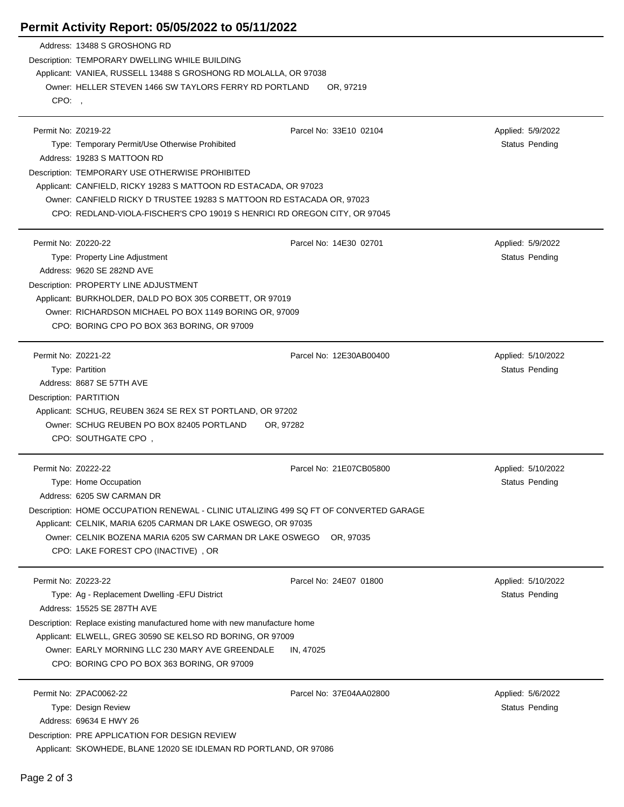## **Permit Activity Report: 05/05/2022 to 05/11/2022**

|                     | Address: 13488 S GROSHONG RD                                                                                              |                         |                    |  |  |  |
|---------------------|---------------------------------------------------------------------------------------------------------------------------|-------------------------|--------------------|--|--|--|
|                     | Description: TEMPORARY DWELLING WHILE BUILDING                                                                            |                         |                    |  |  |  |
|                     | Applicant: VANIEA, RUSSELL 13488 S GROSHONG RD MOLALLA, OR 97038                                                          |                         |                    |  |  |  |
|                     | Owner: HELLER STEVEN 1466 SW TAYLORS FERRY RD PORTLAND<br>OR, 97219                                                       |                         |                    |  |  |  |
| CPO:                |                                                                                                                           |                         |                    |  |  |  |
|                     |                                                                                                                           |                         |                    |  |  |  |
| Permit No: Z0219-22 |                                                                                                                           | Parcel No: 33E10 02104  | Applied: 5/9/2022  |  |  |  |
|                     | Type: Temporary Permit/Use Otherwise Prohibited                                                                           |                         | Status Pending     |  |  |  |
|                     | Address: 19283 S MATTOON RD                                                                                               |                         |                    |  |  |  |
|                     | Description: TEMPORARY USE OTHERWISE PROHIBITED                                                                           |                         |                    |  |  |  |
|                     | Applicant: CANFIELD, RICKY 19283 S MATTOON RD ESTACADA, OR 97023                                                          |                         |                    |  |  |  |
|                     | Owner: CANFIELD RICKY D TRUSTEE 19283 S MATTOON RD ESTACADA OR, 97023                                                     |                         |                    |  |  |  |
|                     | CPO: REDLAND-VIOLA-FISCHER'S CPO 19019 S HENRICI RD OREGON CITY, OR 97045                                                 |                         |                    |  |  |  |
| Permit No: Z0220-22 |                                                                                                                           | Parcel No: 14E30 02701  | Applied: 5/9/2022  |  |  |  |
|                     | Type: Property Line Adjustment                                                                                            |                         | Status Pending     |  |  |  |
|                     | Address: 9620 SE 282ND AVE                                                                                                |                         |                    |  |  |  |
|                     | Description: PROPERTY LINE ADJUSTMENT                                                                                     |                         |                    |  |  |  |
|                     | Applicant: BURKHOLDER, DALD PO BOX 305 CORBETT, OR 97019                                                                  |                         |                    |  |  |  |
|                     | Owner: RICHARDSON MICHAEL PO BOX 1149 BORING OR, 97009                                                                    |                         |                    |  |  |  |
|                     | CPO: BORING CPO PO BOX 363 BORING, OR 97009                                                                               |                         |                    |  |  |  |
|                     |                                                                                                                           |                         |                    |  |  |  |
| Permit No: Z0221-22 |                                                                                                                           | Parcel No: 12E30AB00400 | Applied: 5/10/2022 |  |  |  |
|                     | Type: Partition                                                                                                           |                         | Status Pending     |  |  |  |
|                     | Address: 8687 SE 57TH AVE                                                                                                 |                         |                    |  |  |  |
|                     | Description: PARTITION                                                                                                    |                         |                    |  |  |  |
|                     | Applicant: SCHUG, REUBEN 3624 SE REX ST PORTLAND, OR 97202                                                                |                         |                    |  |  |  |
|                     | Owner: SCHUG REUBEN PO BOX 82405 PORTLAND<br>OR, 97282                                                                    |                         |                    |  |  |  |
|                     | CPO: SOUTHGATE CPO,                                                                                                       |                         |                    |  |  |  |
|                     |                                                                                                                           |                         |                    |  |  |  |
| Permit No: Z0222-22 |                                                                                                                           | Parcel No: 21E07CB05800 | Applied: 5/10/2022 |  |  |  |
|                     | Type: Home Occupation                                                                                                     |                         | Status Pending     |  |  |  |
|                     | Address: 6205 SW CARMAN DR                                                                                                |                         |                    |  |  |  |
|                     | Description: HOME OCCUPATION RENEWAL - CLINIC UTALIZING 499 SQ FT OF CONVERTED GARAGE                                     |                         |                    |  |  |  |
|                     | Applicant: CELNIK, MARIA 6205 CARMAN DR LAKE OSWEGO, OR 97035<br>Owner: CELNIK BOZENA MARIA 6205 SW CARMAN DR LAKE OSWEGO | OR, 97035               |                    |  |  |  |
|                     | CPO: LAKE FOREST CPO (INACTIVE), OR                                                                                       |                         |                    |  |  |  |
|                     |                                                                                                                           |                         |                    |  |  |  |
| Permit No: Z0223-22 |                                                                                                                           | Parcel No: 24E07 01800  | Applied: 5/10/2022 |  |  |  |
|                     | Type: Ag - Replacement Dwelling - EFU District                                                                            |                         | Status Pending     |  |  |  |
|                     | Address: 15525 SE 287TH AVE                                                                                               |                         |                    |  |  |  |
|                     | Description: Replace existing manufactured home with new manufacture home                                                 |                         |                    |  |  |  |
|                     | Applicant: ELWELL, GREG 30590 SE KELSO RD BORING, OR 97009                                                                |                         |                    |  |  |  |
|                     | Owner: EARLY MORNING LLC 230 MARY AVE GREENDALE                                                                           | IN, 47025               |                    |  |  |  |
|                     | CPO: BORING CPO PO BOX 363 BORING, OR 97009                                                                               |                         |                    |  |  |  |
|                     |                                                                                                                           |                         |                    |  |  |  |
|                     | Permit No: ZPAC0062-22                                                                                                    | Parcel No: 37E04AA02800 | Applied: 5/6/2022  |  |  |  |
|                     | Type: Design Review                                                                                                       |                         | Status Pending     |  |  |  |
|                     | Address: 69634 E HWY 26                                                                                                   |                         |                    |  |  |  |
|                     | Description: PRE APPLICATION FOR DESIGN REVIEW<br>Applicant: SKOWHEDE, BLANE 12020 SE IDLEMAN RD PORTLAND, OR 97086       |                         |                    |  |  |  |
|                     |                                                                                                                           |                         |                    |  |  |  |